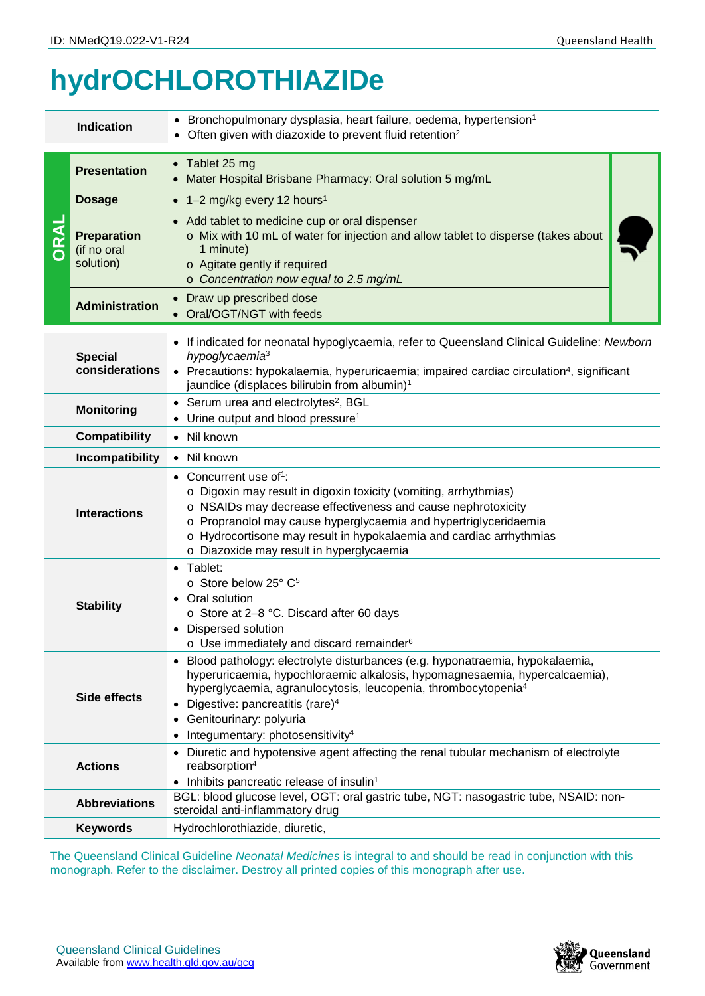## **hydrOCHLOROTHIAZIDe**

| <b>Indication</b>                                                                                                                                                                                              |                                                                                                                                                                                                                                                                                                                                  | • Bronchopulmonary dysplasia, heart failure, oedema, hypertension <sup>1</sup><br>Often given with diazoxide to prevent fluid retention <sup>2</sup>                                                                                                                                                                                                                      |  |  |  |  |
|----------------------------------------------------------------------------------------------------------------------------------------------------------------------------------------------------------------|----------------------------------------------------------------------------------------------------------------------------------------------------------------------------------------------------------------------------------------------------------------------------------------------------------------------------------|---------------------------------------------------------------------------------------------------------------------------------------------------------------------------------------------------------------------------------------------------------------------------------------------------------------------------------------------------------------------------|--|--|--|--|
| <b>DRAL</b>                                                                                                                                                                                                    | <b>Presentation</b>                                                                                                                                                                                                                                                                                                              | • Tablet 25 mg<br>Mater Hospital Brisbane Pharmacy: Oral solution 5 mg/mL                                                                                                                                                                                                                                                                                                 |  |  |  |  |
|                                                                                                                                                                                                                | <b>Dosage</b>                                                                                                                                                                                                                                                                                                                    | $\bullet$ 1-2 mg/kg every 12 hours <sup>1</sup>                                                                                                                                                                                                                                                                                                                           |  |  |  |  |
|                                                                                                                                                                                                                | <b>Preparation</b><br>(if no oral<br>solution)                                                                                                                                                                                                                                                                                   | • Add tablet to medicine cup or oral dispenser<br>o Mix with 10 mL of water for injection and allow tablet to disperse (takes about<br>1 minute)<br>o Agitate gently if required<br>o Concentration now equal to 2.5 mg/mL<br>• Draw up prescribed dose                                                                                                                   |  |  |  |  |
|                                                                                                                                                                                                                | Administration                                                                                                                                                                                                                                                                                                                   | • Oral/OGT/NGT with feeds                                                                                                                                                                                                                                                                                                                                                 |  |  |  |  |
|                                                                                                                                                                                                                | • If indicated for neonatal hypoglycaemia, refer to Queensland Clinical Guideline: Newborn<br>hypoglycaemia <sup>3</sup><br><b>Special</b><br>considerations<br>• Precautions: hypokalaemia, hyperuricaemia; impaired cardiac circulation <sup>4</sup> , significant<br>jaundice (displaces bilirubin from albumin) <sup>1</sup> |                                                                                                                                                                                                                                                                                                                                                                           |  |  |  |  |
|                                                                                                                                                                                                                | • Serum urea and electrolytes <sup>2</sup> , BGL<br><b>Monitoring</b><br>• Urine output and blood pressure <sup>1</sup>                                                                                                                                                                                                          |                                                                                                                                                                                                                                                                                                                                                                           |  |  |  |  |
| <b>Compatibility</b><br>• Nil known                                                                                                                                                                            |                                                                                                                                                                                                                                                                                                                                  |                                                                                                                                                                                                                                                                                                                                                                           |  |  |  |  |
|                                                                                                                                                                                                                | Incompatibility                                                                                                                                                                                                                                                                                                                  | • Nil known                                                                                                                                                                                                                                                                                                                                                               |  |  |  |  |
| <b>Interactions</b>                                                                                                                                                                                            |                                                                                                                                                                                                                                                                                                                                  | • Concurrent use of <sup>1</sup> :<br>o Digoxin may result in digoxin toxicity (vomiting, arrhythmias)<br>o NSAIDs may decrease effectiveness and cause nephrotoxicity<br>o Propranolol may cause hyperglycaemia and hypertriglyceridaemia<br>o Hydrocortisone may result in hypokalaemia and cardiac arrhythmias<br>o Diazoxide may result in hyperglycaemia             |  |  |  |  |
|                                                                                                                                                                                                                | <b>Stability</b>                                                                                                                                                                                                                                                                                                                 | • Tablet:<br>o Store below 25° C <sup>5</sup><br>Oral solution<br>o Store at 2-8 °C. Discard after 60 days<br>• Dispersed solution<br>o Use immediately and discard remainder <sup>6</sup>                                                                                                                                                                                |  |  |  |  |
| Side effects                                                                                                                                                                                                   |                                                                                                                                                                                                                                                                                                                                  | · Blood pathology: electrolyte disturbances (e.g. hyponatraemia, hypokalaemia,<br>hyperuricaemia, hypochloraemic alkalosis, hypomagnesaemia, hypercalcaemia),<br>hyperglycaemia, agranulocytosis, leucopenia, thrombocytopenia <sup>4</sup><br>• Digestive: pancreatitis (rare) <sup>4</sup><br>• Genitourinary: polyuria<br>Integumentary: photosensitivity <sup>4</sup> |  |  |  |  |
| <b>Actions</b>                                                                                                                                                                                                 |                                                                                                                                                                                                                                                                                                                                  | • Diuretic and hypotensive agent affecting the renal tubular mechanism of electrolyte<br>reabsorption <sup>4</sup><br>• Inhibits pancreatic release of insulin <sup>1</sup>                                                                                                                                                                                               |  |  |  |  |
|                                                                                                                                                                                                                | BGL: blood glucose level, OGT: oral gastric tube, NGT: nasogastric tube, NSAID: non-<br><b>Abbreviations</b><br>steroidal anti-inflammatory drug                                                                                                                                                                                 |                                                                                                                                                                                                                                                                                                                                                                           |  |  |  |  |
|                                                                                                                                                                                                                | <b>Keywords</b>                                                                                                                                                                                                                                                                                                                  | Hydrochlorothiazide, diuretic,                                                                                                                                                                                                                                                                                                                                            |  |  |  |  |
| The Queensland Clinical Guideline Neonatal Medicines is integral to and should be read in conjunction with this<br>monograph. Refer to the disclaimer. Destroy all printed copies of this monograph after use. |                                                                                                                                                                                                                                                                                                                                  |                                                                                                                                                                                                                                                                                                                                                                           |  |  |  |  |